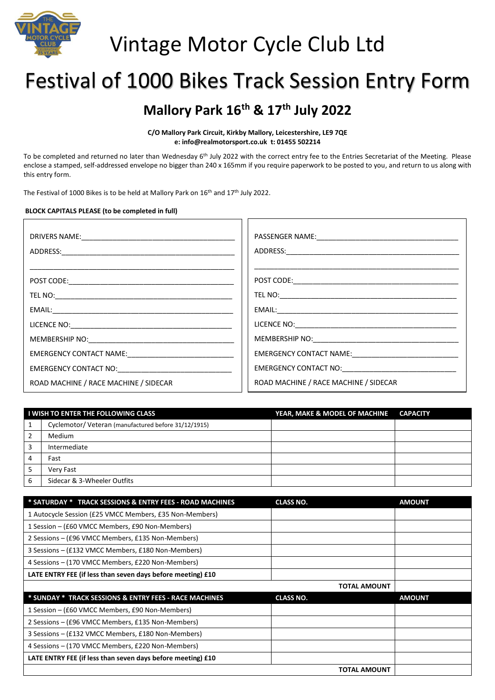

# Vintage Motor Cycle Club Ltd

# Festival of 1000 Bikes Track Session Entry Form

### **Mallory Park 16th & 17th July 2022**

**C/O Mallory Park Circuit, Kirkby Mallory, Leicestershire, LE9 7QE e: info@realmotorsport.co.uk t: 01455 502214**

To be completed and returned no later than Wednesday 6<sup>th</sup> July 2022 with the correct entry fee to the Entries Secretariat of the Meeting. Please enclose a stamped, self-addressed envelope no bigger than 240 x 165mm if you require paperwork to be posted to you, and return to us along with this entry form.

The Festival of 1000 Bikes is to be held at Mallory Park on 16<sup>th</sup> and 17<sup>th</sup> July 2022.

### **BLOCK CAPITALS PLEASE (to be completed in full)**

| ROAD MACHINE / RACE MACHINE / SIDECAR | ROAD MACHINE / RACE MACHINE / SIDECAR |
|---------------------------------------|---------------------------------------|

| I WISH TO ENTER THE FOLLOWING CLASS |                                                      | YEAR, MAKE & MODEL OF MACHINE | <b>CAPACITY</b> |
|-------------------------------------|------------------------------------------------------|-------------------------------|-----------------|
|                                     | Cyclemotor/ Veteran (manufactured before 31/12/1915) |                               |                 |
| 2                                   | Medium                                               |                               |                 |
| 3                                   | Intermediate                                         |                               |                 |
| 4                                   | Fast                                                 |                               |                 |
| 5                                   | Very Fast                                            |                               |                 |
| 6                                   | Sidecar & 3-Wheeler Outfits                          |                               |                 |

| * SATURDAY * TRACK SESSIONS & ENTRY FEES - ROAD MACHINES    | <b>CLASS NO.</b>    | <b>AMOUNT</b> |
|-------------------------------------------------------------|---------------------|---------------|
| 1 Autocycle Session (£25 VMCC Members, £35 Non-Members)     |                     |               |
| 1 Session – (£60 VMCC Members, £90 Non-Members)             |                     |               |
| 2 Sessions – (£96 VMCC Members, £135 Non-Members)           |                     |               |
| 3 Sessions – (£132 VMCC Members, £180 Non-Members)          |                     |               |
| 4 Sessions – (170 VMCC Members, £220 Non-Members)           |                     |               |
| LATE ENTRY FEE (if less than seven days before meeting) £10 |                     |               |
|                                                             |                     |               |
|                                                             | <b>TOTAL AMOUNT</b> |               |
| * SUNDAY * TRACK SESSIONS & ENTRY FEES - RACE MACHINES      | <b>CLASS NO.</b>    | <b>AMOUNT</b> |
| 1 Session – (£60 VMCC Members, £90 Non-Members)             |                     |               |
| 2 Sessions – (£96 VMCC Members, £135 Non-Members)           |                     |               |
| 3 Sessions – (£132 VMCC Members, £180 Non-Members)          |                     |               |
| 4 Sessions – (170 VMCC Members, £220 Non-Members)           |                     |               |
| LATE ENTRY FEE (if less than seven days before meeting) £10 |                     |               |